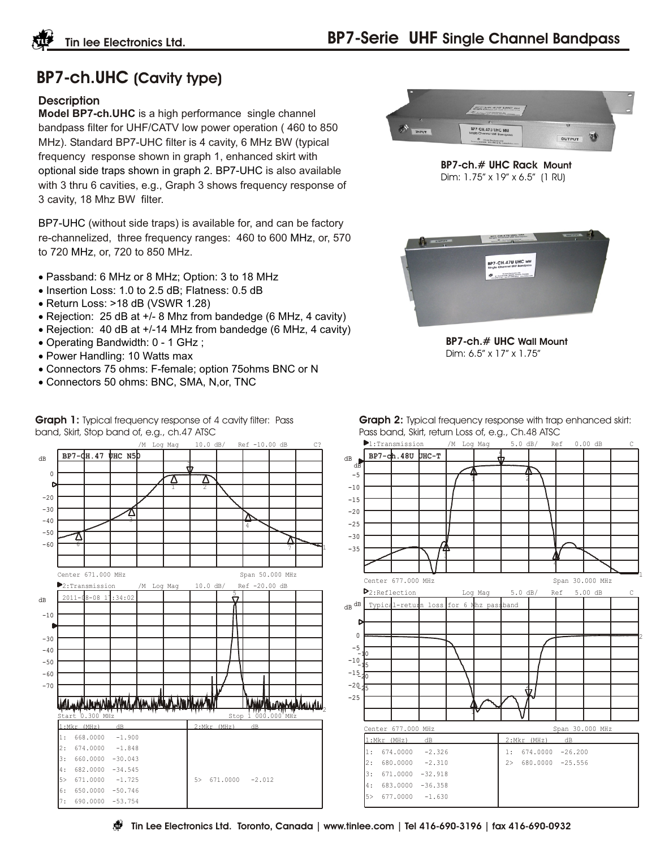## **BP7-ch.UHC (Cavity type)**

## **Description**

**Model BP7-ch.UHC** is a high performance single channel bandpass filter for UHF/CATV low power operation ( 460 to 850 MHz). Standard BP7-UHC filter is 4 cavity, 6 MHz BW (typical frequency response shown in graph 1, enhanced skirt with optional side traps shown in graph 2. BP7-UHC is also available with 3 thru 6 cavities, e.g., Graph 3 shows frequency response of 3 cavity, 18 Mhz BW filter.

BP7-UHC (without side traps) is available for, and can be factory re-channelized, three frequency ranges: 460 to 600 MHz, or, 570 to 720 MHz, or, 720 to 850 MHz.

 Passband: 6 MHz or 8 MHz; Option: 3 to 18 MHz Insertion Loss: 1.0 to 2.5 dB; Flatness: 0.5 dB Return Loss: >18 dB (VSWR 1.28) Rejection: 25 dB at +/- 8 Mhz from bandedge (6 MHz, 4 cavity) Rejection: 40 dB at +/-14 MHz from bandedge (6 MHz, 4 cavity) Operating Bandwidth: 0 - 1 GHz ; Power Handling: 10 Watts max Connectors 75 ohms: F-female; option 75ohms BNC or N Connectors 50 ohms: BNC, SMA, N,or, TNC

**Graph 1:** Typical frequency response of 4 cavity filter: Pass band, Skirt, Stop band of, e.g., ch.47 ATSC





**BP7-ch.# UHC Rack Mount** Dim: 1.75" x 19" x 6.5" (1 RU)



**BP7-ch.# UHC Wall Mount** Dim: 6.5" x 17" x 1.75"